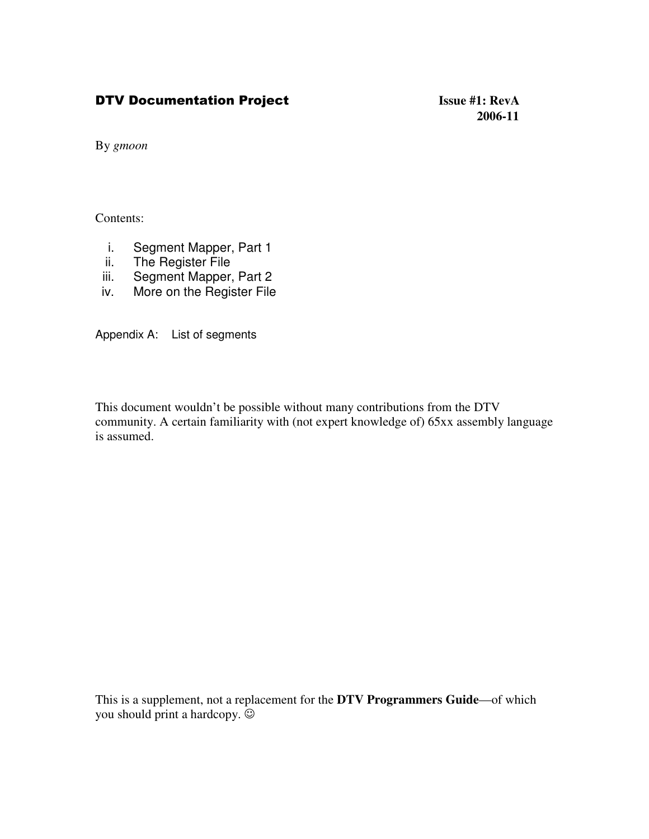## **DTV Documentation**

 **Issue #1: RevA 2006-11**

By *gmoon*

Contents:

- i. Segment Mapper, Part 1
- ii. The Register File
- iii. Segment Mapper, Part 2
- iv. More on the Register File

Appendix A: List of segments

This document wouldn't be possible without many contributions from the DTV community. A certain familiarity with (not expert knowledge of) 65xx assembly language is assumed.

This is a supplement, not a replacement for the **DTV Programmers Guide**—of which you should print a hardcopy.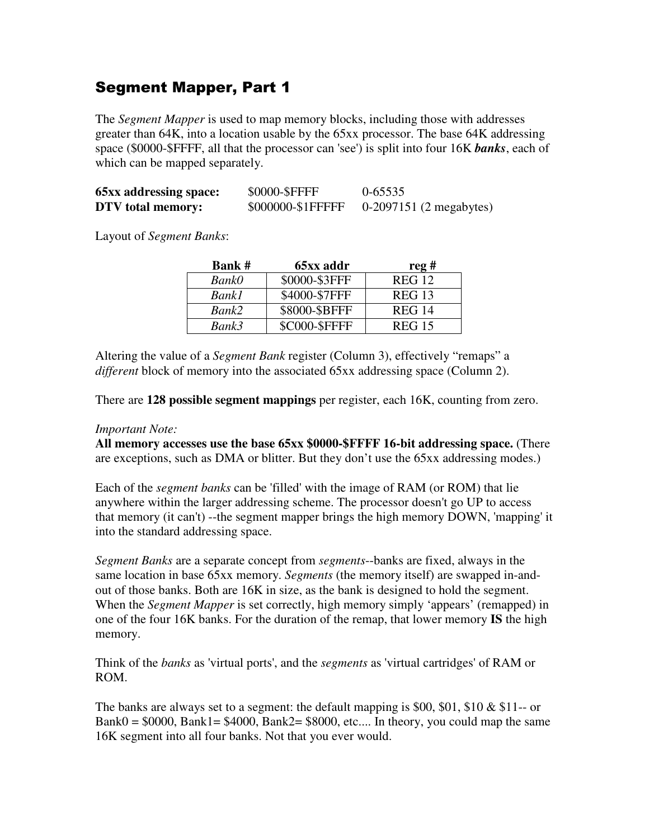## **Segment Mapper, Part 1**

The *Segment Mapper* is used to map memory blocks, including those with addresses greater than 64K, into a location usable by the 65xx processor. The base 64K addressing space (\$0000-\$FFFF, all that the processor can 'see') is split into four 16K *banks*, each of which can be mapped separately.

| <b>65xx addressing space:</b> | \$0000-\$FFFF     | 0-65535                 |
|-------------------------------|-------------------|-------------------------|
| DTV total memory:             | \$000000-\$1FFFFF | 0-2097151 (2 megabytes) |

Layout of *Segment Banks*:

| <b>Bank#</b> | 65xx addr            | reg#          |
|--------------|----------------------|---------------|
| <b>BankO</b> | \$0000-\$3FFF        | <b>REG 12</b> |
| <b>Bank1</b> | \$4000-\$7FFF        | <b>REG 13</b> |
| Bank2        | \$8000-\$BFFF        | <b>REG 14</b> |
| Bank3        | <b>\$C000-\$FFFF</b> | <b>REG 15</b> |

Altering the value of a *Segment Bank* register (Column 3), effectively "remaps" a *different* block of memory into the associated 65xx addressing space (Column 2).

There are **128 possible segment mappings** per register, each 16K, counting from zero.

### *Important Note:*

**All memory accesses use the base 65xx \$0000-\$FFFF 16-bit addressing space.** (There are exceptions, such as DMA or blitter. But they don't use the 65xx addressing modes.)

Each of the *segment banks* can be 'filled'with the image of RAM (or ROM) that lie anywhere within the larger addressing scheme. The processor doesn't go UP to access that memory (it can't) --the segment mapper brings the high memory DOWN, 'mapping'it into the standard addressing space.

*Segment Banks* are a separate concept from *segments*--banks are fixed, always in the same location in base 65xx memory. *Segments* (the memory itself) are swapped in-andout of those banks. Both are 16K in size, as the bank is designed to hold the segment. When the *Segment Mapper* is set correctly, high memory simply 'appears' (remapped) in one of the four 16K banks. For the duration of the remap, that lower memory **IS** the high memory.

Think of the *banks* as 'virtual ports', and the *segments* as 'virtual cartridges'of RAM or ROM.

The banks are always set to a segment: the default mapping is \$00, \$01, \$10  $\&$  \$11-- or  $Bank0 = $0000$ ,  $Bank1 = $4000$ ,  $Bank2 = $8000$ , etc.... In theory, you could map the same 16K segment into all four banks. Not that you ever would.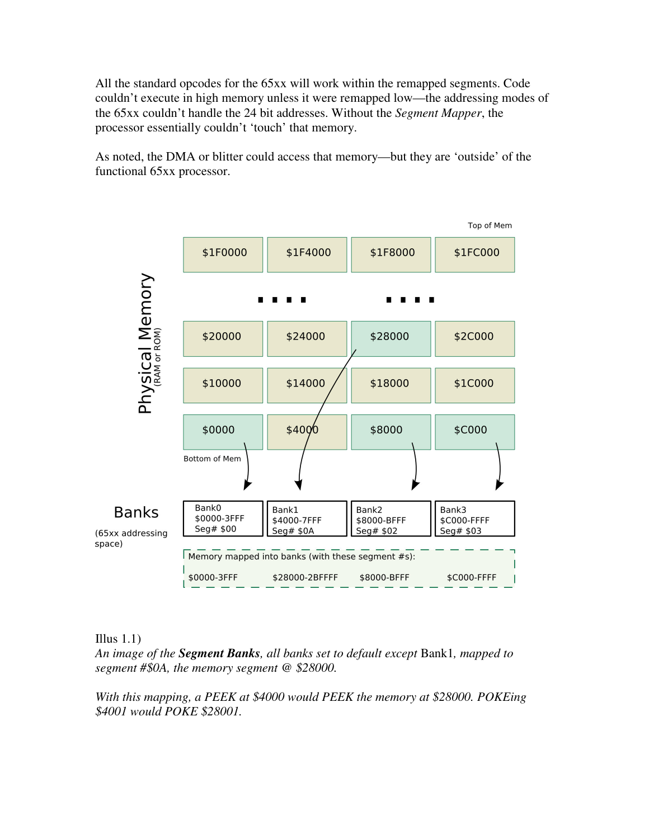All the standard opcodes for the 65xx will work within the remapped segments. Code couldn't execute in high memory unless it were remapped low—the addressing modes of the 65xx couldn't handle the 24 bit addresses. Without the *Segment Mapper*, the processor essentially couldn't 'touch' that memory.

As noted, the DMA or blitter could access that memory—but they are 'outside' of the functional 65xx processor.



### Illus  $1.1$ )

*An image of the Segment Banks, all banks set to default except* Bank1*, mapped to segment #\$0A, the memory segment @ \$28000.*

*With this mapping, a PEEK at \$4000 would PEEK the memory at \$28000. POKEing \$4001 would POKE \$28001.*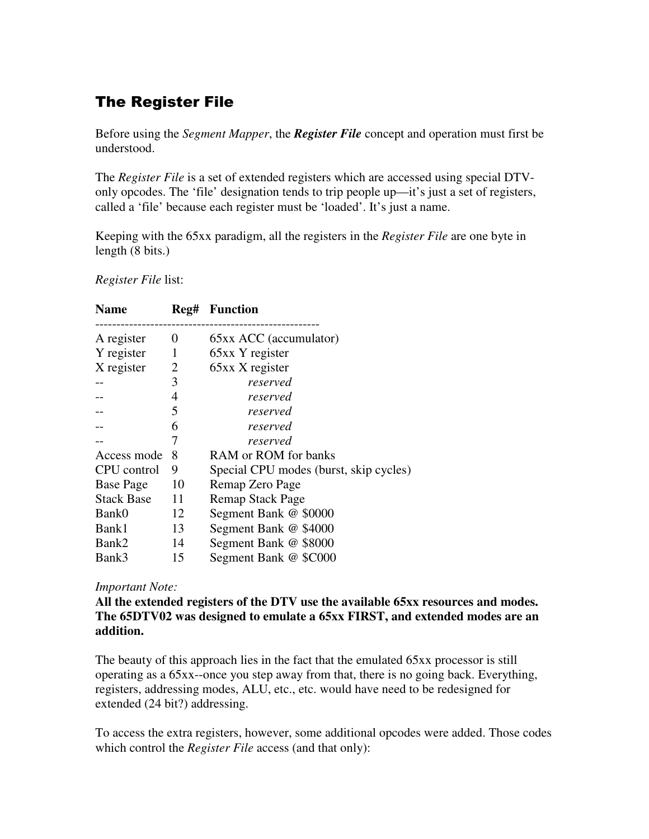# **The Register File**

Before using the *Segment Mapper*, the *Register File* concept and operation must first be understood.

The *Register File* is a set of extended registers which are accessed using special DTVonly opcodes. The 'file' designation tends to trip people up—it's just a set of registers, called a 'file' because each register must be 'loaded'. It's just a name.

Keeping with the 65xx paradigm, all the registers in the *Register File* are one byte in length (8 bits.)

*Register File* list:

| <b>Name</b>       | Reg# | <b>Function</b>                        |
|-------------------|------|----------------------------------------|
| A register        | 0    | 65xx ACC (accumulator)                 |
| Y register        | 1    | 65xx Y register                        |
| X register        | 2    | 65xx X register                        |
|                   | 3    | reserved                               |
|                   | 4    | reserved                               |
|                   | 5    | reserved                               |
|                   | 6    | reserved                               |
|                   | 7    | reserved                               |
| Access mode       | 8    | RAM or ROM for banks                   |
| CPU control       | 9    | Special CPU modes (burst, skip cycles) |
| <b>Base Page</b>  | 10   | Remap Zero Page                        |
| <b>Stack Base</b> | 11   | <b>Remap Stack Page</b>                |
| Bank0             | 12   | Segment Bank @ \$0000                  |
| Bank1             | 13   | Segment Bank @ \$4000                  |
| Bank2             | 14   | Segment Bank @ \$8000                  |
| Bank3             | 15   | Segment Bank @ \$C000                  |

### *Important Note:*

**All the extended registers of the DTV use the available 65xx resources and modes. The 65DTV02 was designed to emulate a 65xx FIRST, and extended modes are an addition.**

The beauty of this approach lies in the fact that the emulated 65xx processor is still operating as a 65xx--once you step away from that, there is no going back. Everything, registers, addressing modes, ALU, etc., etc. would have need to be redesigned for extended (24 bit?) addressing.

To access the extra registers, however, some additional opcodes were added. Those codes which control the *Register File* access (and that only):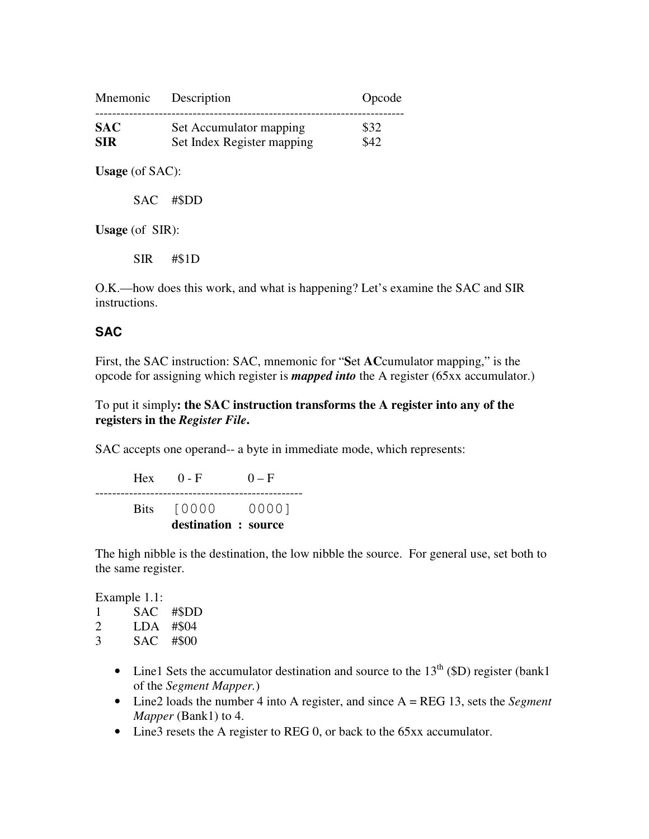| Mnemonic   | Description                | Opcode |
|------------|----------------------------|--------|
| <b>SAC</b> | Set Accumulator mapping    | \$32   |
| <b>SIR</b> | Set Index Register mapping | \$42   |

**Usage** (of SAC):

SAC #\$DD

**Usage** (of SIR):

SIR #\$1D

O.K.—how does this work, and what is happening? Let's examine the SAC and SIR instructions.

### **SAC**

First, the SAC instruction: SAC, mnemonic for "**S**et **AC**cumulator mapping," is the opcode for assigning which register is *mapped into* the A register (65xx accumulator.)

To put it simply**: the SAC instruction transforms the A register into any of the registers in the** *Register File***.**

SAC accepts one operand-- a byte in immediate mode, which represents:

Hex  $0 - F$   $0 - F$ ------------------------------------------------- Bits [0000 0000] **destination : source**

The high nibble is the destination, the low nibble the source. For general use, set both to the same register.

Example 1.1:

1 SAC #\$DD 2 LDA #\$04

- 3 SAC #\$00
	- Line1 Sets the accumulator destination and source to the  $13<sup>th</sup>$  (\$D) register (bank1) of the *Segment Mapper.*)
	- Line2 loads the number 4 into A register, and since A = REG 13, sets the *Segment Mapper* (Bank1) to 4.
	- Line3 resets the A register to REG 0, or back to the 65xx accumulator.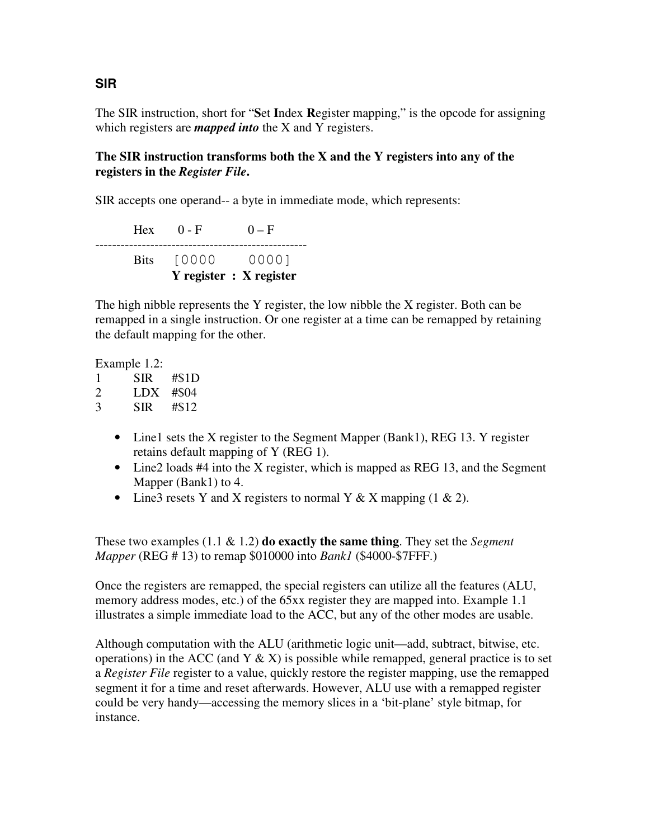The SIR instruction, short for "**S**et **I**ndex **R**egister mapping," is the opcode for assigning which registers are *mapped into* the X and Y registers.

### **The SIR instruction transforms both the X and the Y registers into any of the registers in the** *Register File***.**

SIR accepts one operand-- a byte in immediate mode, which represents:

Hex  $0 - F$   $0 - F$ -------------------------------------------------- Bits [0000 0000] **Y register : X register**

The high nibble represents the Y register, the low nibble the X register. Both can be remapped in a single instruction. Or one register at a time can be remapped by retaining the default mapping for the other.

Example 1.2:

| 1 | SIR | #S1D  |
|---|-----|-------|
| 2 | LDX | #\$04 |
| 3 | SIR | #\$12 |

- Line1 sets the X register to the Segment Mapper (Bank1), REG 13. Y register retains default mapping of Y (REG 1).
- Line2 loads #4 into the X register, which is mapped as REG 13, and the Segment Mapper (Bank1) to 4.
- Line3 resets Y and X registers to normal Y & X mapping  $(1 \& 2)$ .

These two examples (1.1 & 1.2) **do exactly the same thing**. They set the *Segment Mapper* (REG # 13) to remap \$010000 into *Bank1* (\$4000-\$7FFF.)

Once the registers are remapped, the special registers can utilize all the features (ALU, memory address modes, etc.) of the 65xx register they are mapped into. Example 1.1 illustrates a simple immediate load to the ACC, but any of the other modes are usable.

Although computation with the ALU (arithmetic logic unit—add, subtract, bitwise, etc. operations) in the ACC (and Y  $\&$  X) is possible while remapped, general practice is to set a *Register File* register to a value, quickly restore the register mapping, use the remapped segment it for a time and reset afterwards. However, ALU use with a remapped register could be very handy—accessing the memory slices in a 'bit-plane' style bitmap, for instance.

## **SIR**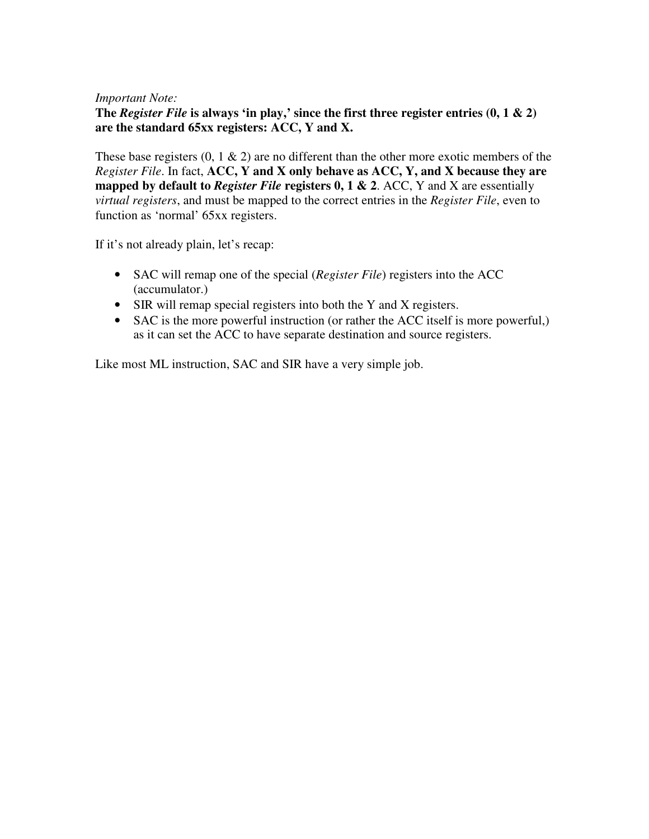#### *Important Note:*

**The** *Register File* **is always 'in play,' since the first three register entries (0, 1 & 2) are the standard 65xx registers: ACC, Y and X.**

These base registers  $(0, 1 \& 2)$  are no different than the other more exotic members of the *Register File*. In fact, **ACC, Y and X only behave as ACC, Y, and X because they are mapped by default to** *Register File* **registers 0, 1 & 2**. ACC, Y and X are essentially *virtual registers*, and must be mapped to the correct entries in the *Register File*, even to function as 'normal' 65xx registers.

If it's not already plain, let's recap:

- SAC will remap one of the special (*Register File*) registers into the ACC (accumulator.)
- SIR will remap special registers into both the Y and X registers.
- SAC is the more powerful instruction (or rather the ACC itself is more powerful,) as it can set the ACC to have separate destination and source registers.

Like most ML instruction, SAC and SIR have a very simple job.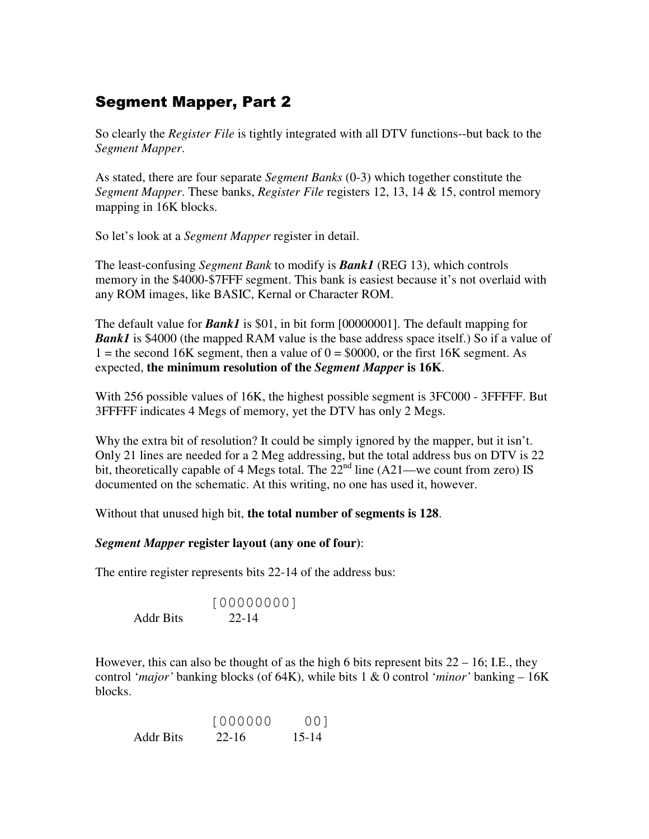# **Segment Mapper, Part 2**

So clearly the *Register File* is tightly integrated with all DTV functions--but back to the *Segment Mapper*.

As stated, there are four separate *Segment Banks* (0-3) which together constitute the *Segment Mapper*. These banks, *Register File* registers 12, 13, 14 & 15, control memory mapping in 16K blocks.

So let's look at a *Segment Mapper* register in detail.

The least-confusing *Segment Bank* to modify is *Bank1* (REG 13), which controls memory in the \$4000-\$7FFF segment. This bank is easiest because it's not overlaid with any ROM images, like BASIC, Kernal or Character ROM.

The default value for *Bank1* is \$01, in bit form [00000001]. The default mapping for **Bank1** is \$4000 (the mapped RAM value is the base address space itself.) So if a value of 1 = the second 16K segment, then a value of  $0 = $0000$ , or the first 16K segment. As expected, **the minimum resolution of the** *Segment Mapper* **is 16K**.

With 256 possible values of 16K, the highest possible segment is 3FC000 - 3FFFFF. But 3FFFFF indicates 4 Megs of memory, yet the DTV has only 2 Megs.

Why the extra bit of resolution? It could be simply ignored by the mapper, but it isn't. Only 21 lines are needed for a 2 Meg addressing, but the total address bus on DTV is 22 bit, theoretically capable of 4 Megs total. The  $22<sup>nd</sup>$  line (A21—we count from zero) IS documented on the schematic. At this writing, no one has used it, however.

Without that unused high bit, **the total number of segments is 128**.

### *Segment Mapper* **register layout (any one of four)**:

The entire register represents bits 22-14 of the address bus:

[00000000] Addr Bits 22-14

However, this can also be thought of as the high 6 bits represent bits  $22 - 16$ ; I.E., they control '*major'* banking blocks (of 64K), while bits 1 & 0 control '*minor'* banking – 16K blocks.

|                  | $\begin{bmatrix} 0 & 0 & 0 & 0 & 0 & 0 \\ 0 & 0 & 0 & 0 & 0 & 0 \\ 0 & 0 & 0 & 0 & 0 & 0 \\ 0 & 0 & 0 & 0 & 0 & 0 \\ 0 & 0 & 0 & 0 & 0 & 0 \\ 0 & 0 & 0 & 0 & 0 & 0 \\ 0 & 0 & 0 & 0 & 0 & 0 \\ 0 & 0 & 0 & 0 & 0 & 0 \\ 0 & 0 & 0 & 0 & 0 & 0 \\ 0 & 0 & 0 & 0 & 0 & 0 & 0 \\ 0 & 0 & 0 & 0 & 0 & 0 & 0 \\ 0 & 0 & 0 & $ | 001       |
|------------------|---------------------------------------------------------------------------------------------------------------------------------------------------------------------------------------------------------------------------------------------------------------------------------------------------------------------------|-----------|
| <b>Addr Bits</b> | $22 - 16$                                                                                                                                                                                                                                                                                                                 | $15 - 14$ |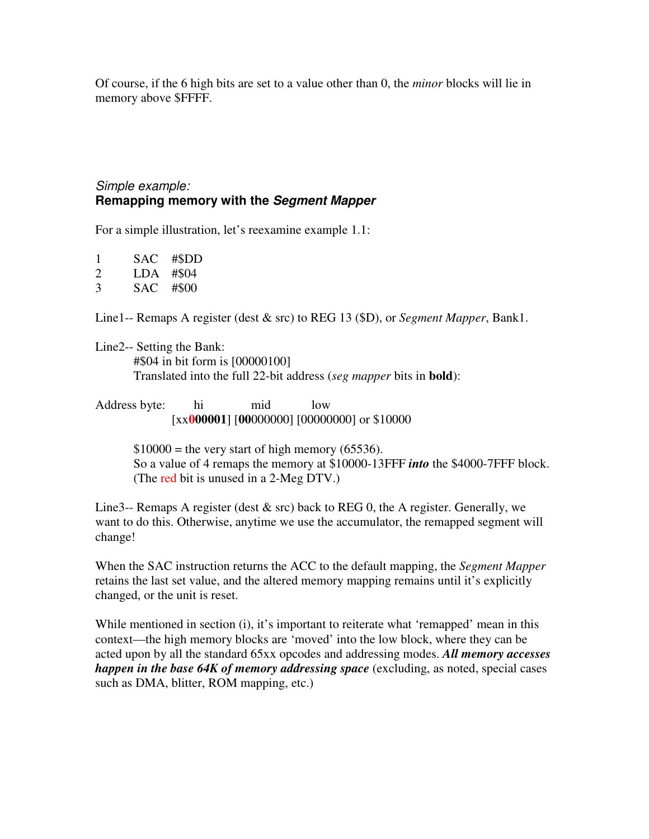Of course, if the 6 high bits are set to a value other than 0, the *minor* blocks will lie in memory above \$FFFF.

### *Simple example:* **Remapping memory with the** *Segment Mapper*

For a simple illustration, let's reexamine example 1.1:

- 1 SAC #\$DD 2 LDA #\$04
- 3 SAC #\$00

Line1-- Remaps A register (dest & src) to REG 13 (\$D), or *Segment Mapper*, Bank1.

Line2-- Setting the Bank: #\$04 in bit form is [00000100] Translated into the full 22-bit address (*seg mapper* bits in **bold**):

Address byte: hi mid low [xx**000001**] [**00**000000] [00000000] or \$10000

> $$10000 =$  the very start of high memory (65536). So a value of 4 remaps the memory at \$10000-13FFF *into* the \$4000-7FFF block. (The red bit is unused in a 2-Meg DTV.)

Line3-- Remaps A register (dest  $\&$  src) back to REG 0, the A register. Generally, we want to do this. Otherwise, anytime we use the accumulator, the remapped segment will change!

When the SAC instruction returns the ACC to the default mapping, the *Segment Mapper* retains the last set value, and the altered memory mapping remains until it's explicitly changed, or the unit is reset.

While mentioned in section (i), it's important to reiterate what 'remapped' mean in this context—the high memory blocks are 'moved' into the low block, where they can be acted upon by all the standard 65xx opcodes and addressing modes. *All memory accesses happen in the base 64K of memory addressing space* (excluding, as noted, special cases such as DMA, blitter, ROM mapping, etc.)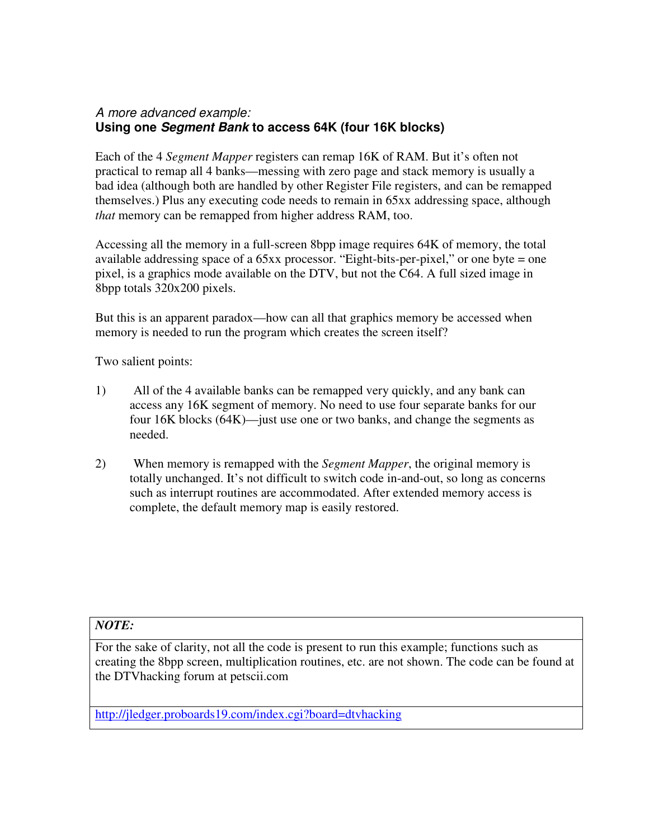## *A more advanced example:* **Using one** *Segment Bank* **to access 64K (four 16K blocks)**

Each of the 4 *Segment Mapper* registers can remap 16K of RAM. But it's often not practical to remap all 4 banks—messing with zero page and stack memory is usually a bad idea (although both are handled by other Register File registers, and can be remapped themselves.) Plus any executing code needs to remain in 65xx addressing space, although *that* memory can be remapped from higher address RAM, too.

Accessing all the memory in a full-screen 8bpp image requires 64K of memory, the total available addressing space of a 65xx processor. "Eight-bits-per-pixel," or one byte = one pixel, is a graphics mode available on the DTV, but not the C64. A full sized image in 8bpp totals 320x200 pixels.

But this is an apparent paradox—how can all that graphics memory be accessed when memory is needed to run the program which creates the screen itself?

Two salient points:

- 1) All of the 4 available banks can be remapped very quickly, and any bank can access any 16K segment of memory. No need to use four separate banks for our four 16K blocks (64K)—just use one or two banks, and change the segments as needed.
- 2) When memory is remapped with the *Segment Mapper*, the original memory is totally unchanged. It's not difficult to switch code in-and-out, so long as concerns such as interrupt routines are accommodated. After extended memory access is complete, the default memory map is easily restored.

### *NOTE:*

For the sake of clarity, not all the code is present to run this example; functions such as creating the 8bpp screen, multiplication routines, etc. are not shown. The code can be found at the DTVhacking forum at petscii.com

http://jledger.proboards19.com/index.cgi?board=dtvhacking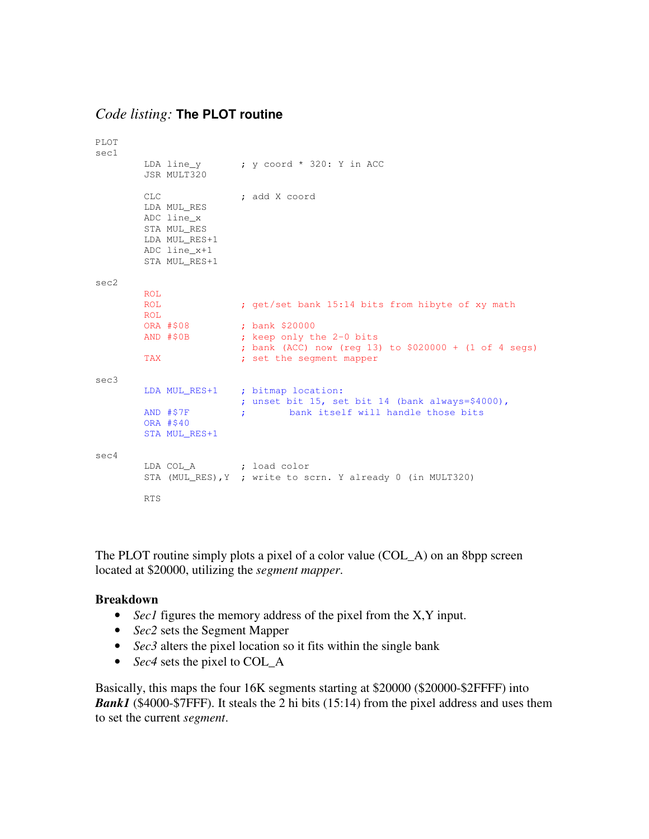### *Code listing:* **The PLOT routine**

```
PLOT
sec1
       LDA line_y : y coord * 320: Y in ACC
        JSR MULT320
        CLC ; add X coord
        LDA MUL_RES
        ADC line_x
        STA MUL_RES
       LDA MUL_RES+1
       ADC line_x+1
       STA MUL_RES+1
sec2
       ROL
        ROL ; get/set bank 15:14 bits from hibyte of xy math
       ROL<br>ORA #$08
       ORA #$08 ; bank $20000<br>AND #$0B ; keep only tl
                      ; keep only the 2-0 bits
                      ; bank (ACC) now (reg 13) to $020000 + (1 of 4 segs)
        TAX \qquad \qquad ; set the segment mapper
sec3
        LDA MUL_RES+1 ; bitmap location:
                        ; unset bit 15, set bit 14 (bank always=$4000),
        AND #$7F ; bank itself will handle those bits
        ORA #$40
        STA MUL_RES+1
sec4
        LDA COL_A ; load color
        STA (MUL_RES), Y ; write to scrn. Y already 0 (in MULT320)
        RTS
```
The PLOT routine simply plots a pixel of a color value (COL\_A) on an 8bpp screen located at \$20000, utilizing the *segment mapper*.

#### **Breakdown**

- *Sec1* figures the memory address of the pixel from the X,Y input.
- *Sec2* sets the Segment Mapper
- *Sec3* alters the pixel location so it fits within the single bank
- *Sec4* sets the pixel to COL\_A

Basically, this maps the four 16K segments starting at \$20000 (\$20000-\$2FFFF) into *Bank1* (\$4000-\$7FFF). It steals the 2 hi bits (15:14) from the pixel address and uses them to set the current *segment*.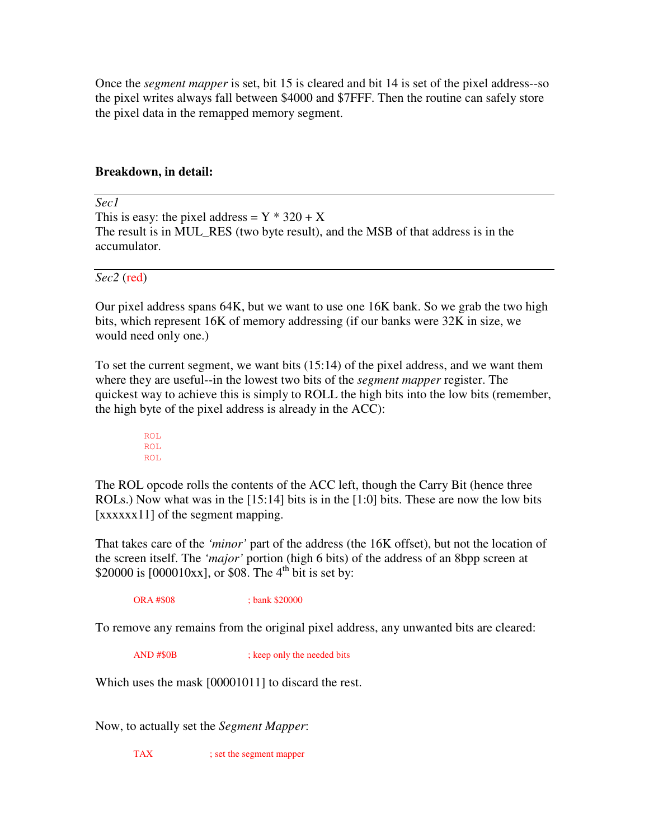Once the *segment mapper* is set, bit 15 is cleared and bit 14 is set of the pixel address--so the pixel writes always fall between \$4000 and \$7FFF. Then the routine can safely store the pixel data in the remapped memory segment.

### **Breakdown, in detail:**

*Sec1*

This is easy: the pixel address =  $Y * 320 + X$ The result is in MUL\_RES (two byte result), and the MSB of that address is in the accumulator.

*Sec2* (red)

Our pixel address spans 64K, but we want to use one 16K bank. So we grab the two high bits, which represent 16K of memory addressing (if our banks were 32K in size, we would need only one.)

To set the current segment, we want bits (15:14) of the pixel address, and we want them where they are useful--in the lowest two bits of the *segment mapper* register. The quickest way to achieve this is simply to ROLL the high bits into the low bits (remember, the high byte of the pixel address is already in the ACC):

> ROL ROL ROL

The ROL opcode rolls the contents of the ACC left, though the Carry Bit (hence three ROLs.) Now what was in the [15:14] bits is in the [1:0] bits. These are now the low bits [xxxxx11] of the segment mapping.

That takes care of the *'minor'* part of the address (the 16K offset), but not the location of the screen itself. The *'major'* portion (high 6 bits) of the address of an 8bpp screen at \$20000 is  $[000010xx]$ , or \$08. The 4<sup>th</sup> bit is set by:

ORA #\$08 ; bank \$20000

To remove any remains from the original pixel address, any unwanted bits are cleared:

AND #\$0B ; keep only the needed bits

Which uses the mask [00001011] to discard the rest.

Now, to actually set the *Segment Mapper*:

TAX ; set the segment mapper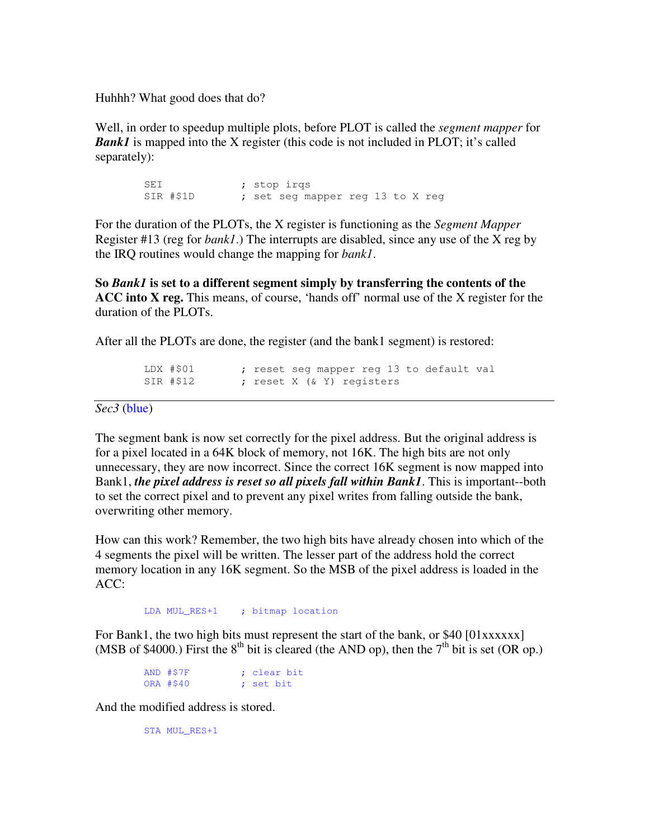Huhhh? What good does that do?

Well, in order to speedup multiple plots, before PLOT is called the *segment mapper* for *Bank1* is mapped into the X register (this code is not included in PLOT; it's called separately):

> SEI ; stop irqs SIR #\$1D ; set seg mapper reg 13 to X reg

For the duration of the PLOTs, the X register is functioning as the *Segment Mapper* Register #13 (reg for *bank1*.) The interrupts are disabled, since any use of the X reg by the IRQ routines would change the mapping for *bank1*.

**So** *Bank1* **is set to a different segment simply by transferring the contents of the ACC into X reg.** This means, of course, 'hands off' normal use of the X register for the duration of the PLOTs.

After all the PLOTs are done, the register (and the bank1 segment) is restored:

LDX #\$01 ; reset seg mapper reg 13 to default val SIR #\$12 ; reset X (& Y) registers

*Sec3* (blue)

The segment bank is now set correctly for the pixel address. But the original address is for a pixel located in a 64K block of memory, not 16K. The high bits are not only unnecessary, they are now incorrect. Since the correct 16K segment is now mapped into Bank1, *the pixel address is reset so all pixels fall within Bank1*. This is important--both to set the correct pixel and to prevent any pixel writes from falling outside the bank, overwriting other memory.

How can this work? Remember, the two high bits have already chosen into which of the 4 segments the pixel will be written. The lesser part of the address hold the correct memory location in any 16K segment. So the MSB of the pixel address is loaded in the ACC:

LDA MUL\_RES+1 ; bitmap location

For Bank1, the two high bits must represent the start of the bank, or \$40 [01xxxxxx] (MSB of \$4000.) First the  $8^{th}$  bit is cleared (the AND op), then the  $7^{th}$  bit is set (OR op.)

> AND #\$7F ; clear bit ORA #\$40 ; set bit

And the modified address is stored.

STA MUL\_RES+1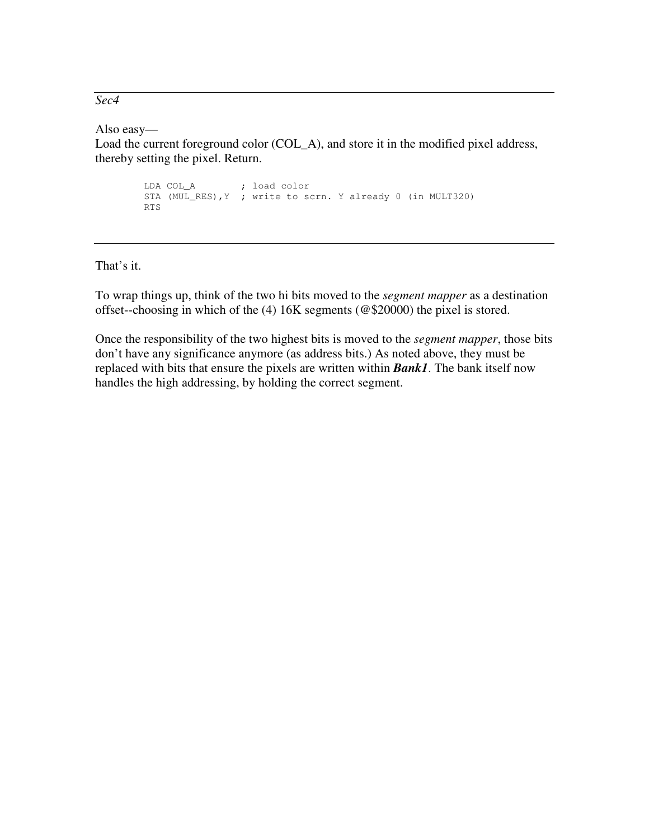*Sec4*

Also easy—

Load the current foreground color (COL\_A), and store it in the modified pixel address, thereby setting the pixel. Return.

> LDA COL\_A ; load color STA (MUL\_RES),Y ; write to scrn. Y already 0 (in MULT320) RTS

That's it.

To wrap things up, think of the two hi bits moved to the *segment mapper* as a destination offset--choosing in which of the (4) 16K segments (@\$20000) the pixel is stored.

Once the responsibility of the two highest bits is moved to the *segment mapper*, those bits don't have any significance anymore (as address bits.) As noted above, they must be replaced with bits that ensure the pixels are written within *Bank1*. The bank itself now handles the high addressing, by holding the correct segment.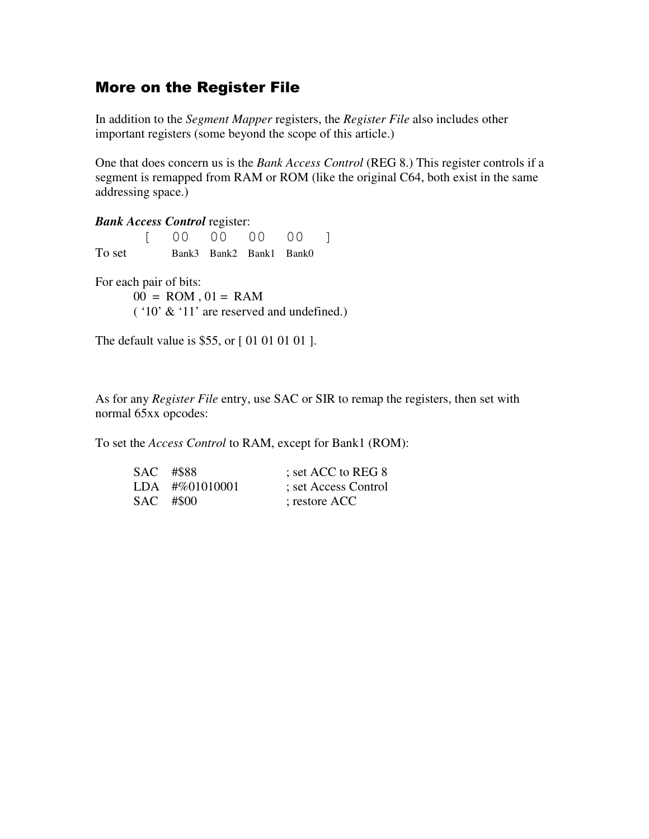## **More on the Register File**

In addition to the *Segment Mapper* registers, the *Register File* also includes other important registers (some beyond the scope of this article.)

One that does concern us is the *Bank Access Control* (REG 8.) This register controls if a segment is remapped from RAM or ROM (like the original C64, both exist in the same addressing space.)

*Bank Access Control* register: [ 00 00 00 00 ] To set Bank3 Bank2 Bank1 Bank0

For each pair of bits:  $00 = ROM$ ,  $01 = RAM$ ( '10' & '11' are reserved and undefined.)

The default value is \$55, or [ 01 01 01 01 ].

As for any *Register File* entry, use SAC or SIR to remap the registers, then set with normal 65xx opcodes:

To set the *Access Control* to RAM, except for Bank1 (ROM):

| SAC #\$88 |                  | ; set ACC to REG 8   |
|-----------|------------------|----------------------|
|           | $LDA$ #%01010001 | ; set Access Control |
| SAC #\$00 |                  | ; restore ACC        |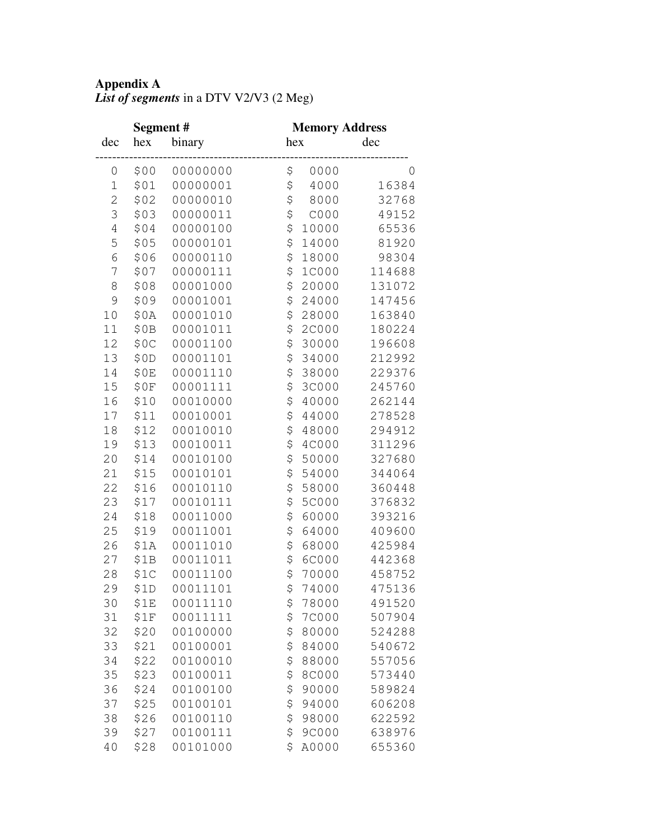## **Appendix A**

|  | List of segments in a DTV V2/V3 (2 Meg) |  |
|--|-----------------------------------------|--|
|--|-----------------------------------------|--|

|                | Segment # |          | <b>Memory Address</b> |
|----------------|-----------|----------|-----------------------|
| dec            | hex       | binary   | dec<br>hex            |
| 0              | \$00      | 00000000 | \$<br>0000<br>0       |
| $\mathbf 1$    | \$01      | 00000001 | \$<br>4000<br>16384   |
| $\overline{c}$ | \$02      | 00000010 | \$<br>8000<br>32768   |
| 3              | \$03      | 00000011 | \$<br>COOO<br>49152   |
| 4              | \$04      | 00000100 | \$<br>65536<br>10000  |
| 5              | \$05      | 00000101 | \$<br>14000<br>81920  |
| 6              | \$06      | 00000110 | \$<br>98304<br>18000  |
| 7              | \$07      | 00000111 | \$<br>1C000<br>114688 |
| 8              | \$08      | 00001000 | \$<br>20000<br>131072 |
| 9              | \$09      | 00001001 | \$<br>24000<br>147456 |
| 10             | \$0A      | 00001010 | \$<br>28000<br>163840 |
| 11             | \$0B      | 00001011 | \$<br>2C000<br>180224 |
| 12             | \$0C      | 00001100 | \$<br>30000<br>196608 |
| 13             | \$0D      | 00001101 | \$<br>34000<br>212992 |
| 14             | \$0E      | 00001110 | \$<br>38000<br>229376 |
| 15             | \$0F      | 00001111 | \$<br>3C000<br>245760 |
| 16             | \$10      | 00010000 | \$<br>262144<br>40000 |
| 17             | \$11      | 00010001 | \$<br>44000<br>278528 |
| 18             | \$12      | 00010010 | \$<br>48000<br>294912 |
| 19             | \$13      | 00010011 | \$<br>4C000<br>311296 |
| 20             | \$14      | 00010100 | \$<br>50000<br>327680 |
| 21             | \$15      | 00010101 | \$<br>54000<br>344064 |
| 22             | \$16      | 00010110 | \$<br>58000<br>360448 |
| 23             | \$17      | 00010111 | \$<br>5C000<br>376832 |
| 24             | \$18      | 00011000 | \$<br>60000<br>393216 |
| 25             | \$19      | 00011001 | \$<br>64000<br>409600 |
| 26             | \$1A      | 00011010 | \$<br>425984<br>68000 |
| 27             | \$1B      | 00011011 | \$<br>6C000<br>442368 |
| 28             | \$1C      | 00011100 | \$<br>70000<br>458752 |
| 29             | \$1D      | 00011101 | \$<br>74000<br>475136 |
| 30             | \$1E      | 00011110 | 78000<br>491520<br>\$ |
| 31             | \$1F      | 00011111 | \$<br>7C000<br>507904 |
| 32             | \$20      | 00100000 | \$<br>80000<br>524288 |
| 33             | \$21      | 00100001 | \$<br>84000<br>540672 |
| 34             | \$22      | 00100010 | \$<br>557056<br>88000 |
| 35             | \$23      | 00100011 | \$<br>8C000<br>573440 |
| 36             | \$24      | 00100100 | \$<br>90000<br>589824 |
| 37             | \$25      | 00100101 | \$<br>94000<br>606208 |
| 38             | \$26      | 00100110 | \$<br>98000<br>622592 |
| 39             | \$27      | 00100111 | \$<br>9C000<br>638976 |
| 40             | \$28      | 00101000 | \$<br>655360<br>A0000 |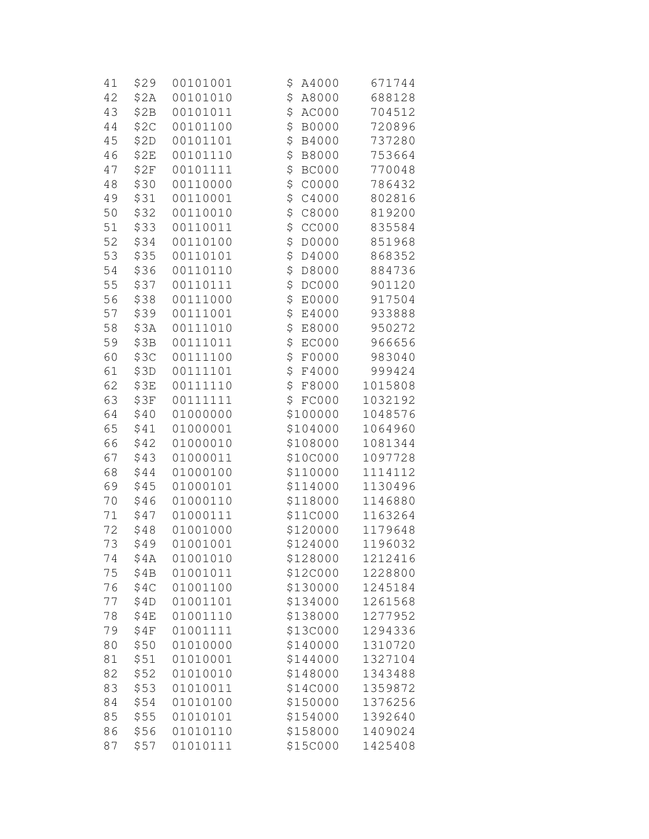| 41   | \$29 | 00101001 | \$<br>A4000        | 671744  |
|------|------|----------|--------------------|---------|
| 42   | \$2A | 00101010 | \$<br>A8000        | 688128  |
| 43   | \$2B | 00101011 | \$<br>AC000        | 704512  |
| 44   | \$2C | 00101100 | \$<br><b>B0000</b> | 720896  |
| 45   | \$2D | 00101101 | \$<br>B4000        | 737280  |
| 46   | \$2E | 00101110 | \$<br>B8000        | 753664  |
| 47   | \$2F | 00101111 | \$<br><b>BC000</b> | 770048  |
| 48   | \$30 | 00110000 | \$<br>C0000        | 786432  |
| 49   | \$31 | 00110001 | \$<br>C4000        | 802816  |
| 50   | \$32 | 00110010 | \$<br>C8000        | 819200  |
| 51   | \$33 | 00110011 | \$<br><b>CC000</b> | 835584  |
| 52   | \$34 | 00110100 | \$<br>D0000        | 851968  |
| 53   | \$35 | 00110101 | \$<br>D4000        | 868352  |
| 54   | \$36 | 00110110 | \$<br>D8000        | 884736  |
| 55   | \$37 | 00110111 | \$<br>DC000        | 901120  |
| 56   | \$38 | 00111000 | \$<br>E0000        | 917504  |
| 57   | \$39 | 00111001 | \$<br>E4000        | 933888  |
| 58   | \$3A | 00111010 | \$<br>E8000        | 950272  |
| 59   | \$3B | 00111011 | \$<br>EC000        | 966656  |
| 60   | \$3C | 00111100 | \$<br>F0000        | 983040  |
| 61   | \$3D | 00111101 | \$<br>F4000        | 999424  |
| 62   | \$3E | 00111110 | \$<br>F8000        | 1015808 |
| 63   | \$3F | 00111111 | \$<br>FC000        | 1032192 |
| 64   | \$40 | 01000000 | \$100000           | 1048576 |
| 65   | \$41 | 01000001 | \$104000           | 1064960 |
| 66   | \$42 | 01000010 | \$108000           | 1081344 |
| 67   | \$43 | 01000011 | \$10C000           | 1097728 |
| 68   | \$44 | 01000100 | \$110000           | 1114112 |
| 69   | \$45 | 01000101 | \$114000           | 1130496 |
| 70   | \$46 | 01000110 | \$118000           | 1146880 |
| $71$ | \$47 | 01000111 | \$11C000           | 1163264 |
| 72   | \$48 | 01001000 | \$120000           | 1179648 |
| 73   | \$49 | 01001001 | \$124000           | 1196032 |
| 74   | \$4A | 01001010 | \$128000           | 1212416 |
| 75   | \$4B | 01001011 | \$12C000           | 1228800 |
| 76   | \$4C | 01001100 | \$130000           | 1245184 |
| 77   | \$4D | 01001101 | \$134000           | 1261568 |
| 78   | \$4E | 01001110 | \$138000           | 1277952 |
| 79   | \$4F | 01001111 | \$13C000           | 1294336 |
| 80   | \$50 | 01010000 | \$140000           | 1310720 |
| 81   | \$51 | 01010001 | \$144000           | 1327104 |
| 82   | \$52 | 01010010 | \$148000           | 1343488 |
| 83   | \$53 | 01010011 | \$14C000           | 1359872 |
| 84   | \$54 | 01010100 | \$150000           | 1376256 |
| 85   | \$55 | 01010101 | \$154000           | 1392640 |
| 86   | \$56 | 01010110 | \$158000           | 1409024 |
| 87   | \$57 | 01010111 | \$15C000           | 1425408 |